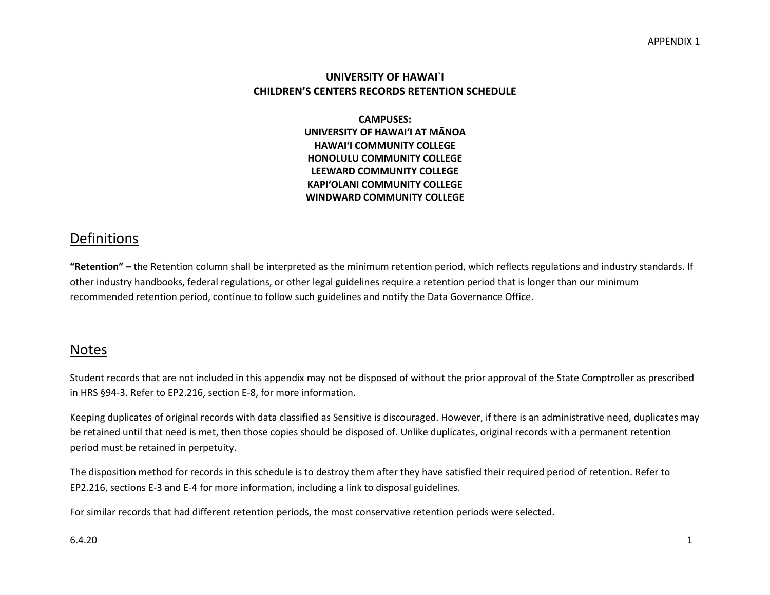#### **UNIVERSITY OF HAWAI`I CHILDREN'S CENTERS RECORDS RETENTION SCHEDULE**

**CAMPUSES: UNIVERSITY OF HAWAI'I AT MĀNOA HAWAI'I COMMUNITY COLLEGE HONOLULU COMMUNITY COLLEGE LEEWARD COMMUNITY COLLEGE KAPI'OLANI COMMUNITY COLLEGE WINDWARD COMMUNITY COLLEGE**

# Definitions

**"Retention" –** the Retention column shall be interpreted as the minimum retention period, which reflects regulations and industry standards. If other industry handbooks, federal regulations, or other legal guidelines require a retention period that is longer than our minimum recommended retention period, continue to follow such guidelines and notify the Data Governance Office.

## Notes

Student records that are not included in this appendix may not be disposed of without the prior approval of the State Comptroller as prescribed in HRS §94-3. Refer to EP2.216, section E-8, for more information.

Keeping duplicates of original records with data classified as Sensitive is discouraged. However, if there is an administrative need, duplicates may be retained until that need is met, then those copies should be disposed of. Unlike duplicates, original records with a permanent retention period must be retained in perpetuity.

The disposition method for records in this schedule is to destroy them after they have satisfied their required period of retention. Refer to EP2.216, sections E-3 and E-4 for more information, including a link to disposal guidelines.

For similar records that had different retention periods, the most conservative retention periods were selected.